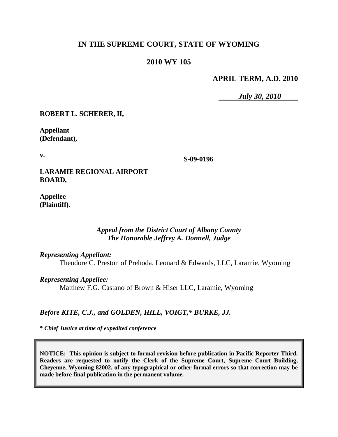# **IN THE SUPREME COURT, STATE OF WYOMING**

# **2010 WY 105**

**APRIL TERM, A.D. 2010**

*July 30, 2010*

**ROBERT L. SCHERER, II,**

**LARAMIE REGIONAL AIRPORT** 

**Appellant (Defendant),**

**v.**

**S-09-0196**

**Appellee (Plaintiff).**

**BOARD,**

## *Appeal from the District Court of Albany County The Honorable Jeffrey A. Donnell, Judge*

### *Representing Appellant:*

Theodore C. Preston of Prehoda, Leonard & Edwards, LLC, Laramie, Wyoming

## *Representing Appellee:*

Matthew F.G. Castano of Brown & Hiser LLC, Laramie, Wyoming

# *Before KITE, C.J., and GOLDEN, HILL, VOIGT,\* BURKE, JJ.*

*\* Chief Justice at time of expedited conference*

**NOTICE: This opinion is subject to formal revision before publication in Pacific Reporter Third. Readers are requested to notify the Clerk of the Supreme Court, Supreme Court Building, Cheyenne, Wyoming 82002, of any typographical or other formal errors so that correction may be made before final publication in the permanent volume.**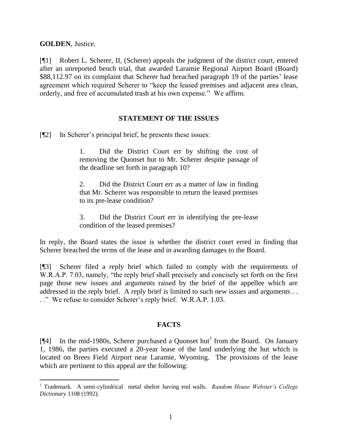**GOLDEN**, Justice.

 $\overline{a}$ 

[¶1] Robert L. Scherer, II, (Scherer) appeals the judgment of the district court, entered after an unreported bench trial, that awarded Laramie Regional Airport Board (Board) \$88,112.97 on its complaint that Scherer had breached paragraph 19 of the parties' lease agreement which required Scherer to "keep the leased premises and adjacent area clean, orderly, and free of accumulated trash at his own expense." We affirm.

## **STATEMENT OF THE ISSUES**

[¶2] In Scherer's principal brief, he presents these issues:

1. Did the District Court err by shifting the cost of removing the Quonset hut to Mr. Scherer despite passage of the deadline set forth in paragraph 10?

2. Did the District Court err as a matter of law in finding that Mr. Scherer was responsible to return the leased premises to its pre-lease condition?

3. Did the District Court err in identifying the pre-lease condition of the leased premises?

In reply, the Board states the issue is whether the district court erred in finding that Scherer breached the terms of the lease and in awarding damages to the Board.

[¶3] Scherer filed a reply brief which failed to comply with the requirements of W.R.A.P. 7.03, namely, "the reply brief shall precisely and concisely set forth on the first page those new issues and arguments raised by the brief of the appellee which are addressed in the reply brief. A reply brief is limited to such new issues and arguments . . . ." We refuse to consider Scherer's reply brief. W.R.A.P. 1.03.

# **FACTS**

[ $\llbracket 4 \rrbracket$  In the mid-1980s, Scherer purchased a Quonset hut<sup>1</sup> from the Board. On January 1, 1986, the parties executed a 20-year lease of the land underlying the hut which is located on Brees Field Airport near Laramie, Wyoming. The provisions of the lease which are pertinent to this appeal are the following:

<sup>1</sup> Trademark. A semi-cylindrical metal shelter having end walls. *Random House Webster's College Dictionary* 1108 (1992).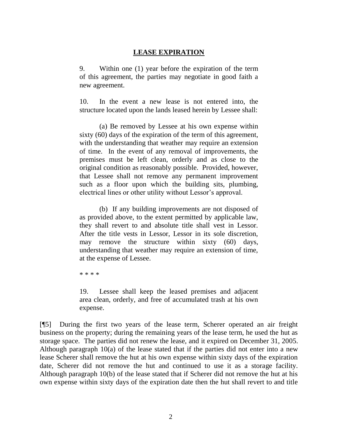# **LEASE EXPIRATION**

9. Within one (1) year before the expiration of the term of this agreement, the parties may negotiate in good faith a new agreement.

10. In the event a new lease is not entered into, the structure located upon the lands leased herein by Lessee shall:

(a) Be removed by Lessee at his own expense within sixty (60) days of the expiration of the term of this agreement, with the understanding that weather may require an extension of time. In the event of any removal of improvements, the premises must be left clean, orderly and as close to the original condition as reasonably possible. Provided, however, that Lessee shall not remove any permanent improvement such as a floor upon which the building sits, plumbing, electrical lines or other utility without Lessor's approval.

(b) If any building improvements are not disposed of as provided above, to the extent permitted by applicable law, they shall revert to and absolute title shall vest in Lessor. After the title vests in Lessor, Lessor in its sole discretion, may remove the structure within sixty (60) days, understanding that weather may require an extension of time, at the expense of Lessee.

\* \* \* \*

19. Lessee shall keep the leased premises and adjacent area clean, orderly, and free of accumulated trash at his own expense.

[¶5] During the first two years of the lease term, Scherer operated an air freight business on the property; during the remaining years of the lease term, he used the hut as storage space. The parties did not renew the lease, and it expired on December 31, 2005. Although paragraph 10(a) of the lease stated that if the parties did not enter into a new lease Scherer shall remove the hut at his own expense within sixty days of the expiration date, Scherer did not remove the hut and continued to use it as a storage facility. Although paragraph 10(b) of the lease stated that if Scherer did not remove the hut at his own expense within sixty days of the expiration date then the hut shall revert to and title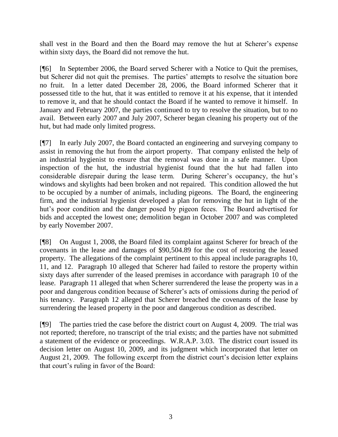shall vest in the Board and then the Board may remove the hut at Scherer's expense within sixty days, the Board did not remove the hut.

[¶6] In September 2006, the Board served Scherer with a Notice to Quit the premises, but Scherer did not quit the premises. The parties' attempts to resolve the situation bore no fruit. In a letter dated December 28, 2006, the Board informed Scherer that it possessed title to the hut, that it was entitled to remove it at his expense, that it intended to remove it, and that he should contact the Board if he wanted to remove it himself. In January and February 2007, the parties continued to try to resolve the situation, but to no avail. Between early 2007 and July 2007, Scherer began cleaning his property out of the hut, but had made only limited progress.

[¶7] In early July 2007, the Board contacted an engineering and surveying company to assist in removing the hut from the airport property. That company enlisted the help of an industrial hygienist to ensure that the removal was done in a safe manner. Upon inspection of the hut, the industrial hygienist found that the hut had fallen into considerable disrepair during the lease term. During Scherer's occupancy, the hut's windows and skylights had been broken and not repaired. This condition allowed the hut to be occupied by a number of animals, including pigeons. The Board, the engineering firm, and the industrial hygienist developed a plan for removing the hut in light of the hut's poor condition and the danger posed by pigeon feces. The Board advertised for bids and accepted the lowest one; demolition began in October 2007 and was completed by early November 2007.

[¶8] On August 1, 2008, the Board filed its complaint against Scherer for breach of the covenants in the lease and damages of \$90,504.89 for the cost of restoring the leased property. The allegations of the complaint pertinent to this appeal include paragraphs 10, 11, and 12. Paragraph 10 alleged that Scherer had failed to restore the property within sixty days after surrender of the leased premises in accordance with paragraph 10 of the lease. Paragraph 11 alleged that when Scherer surrendered the lease the property was in a poor and dangerous condition because of Scherer's acts of omissions during the period of his tenancy. Paragraph 12 alleged that Scherer breached the covenants of the lease by surrendering the leased property in the poor and dangerous condition as described.

[¶9] The parties tried the case before the district court on August 4, 2009. The trial was not reported; therefore, no transcript of the trial exists; and the parties have not submitted a statement of the evidence or proceedings. W.R.A.P. 3.03. The district court issued its decision letter on August 10, 2009, and its judgment which incorporated that letter on August 21, 2009. The following excerpt from the district court's decision letter explains that court's ruling in favor of the Board: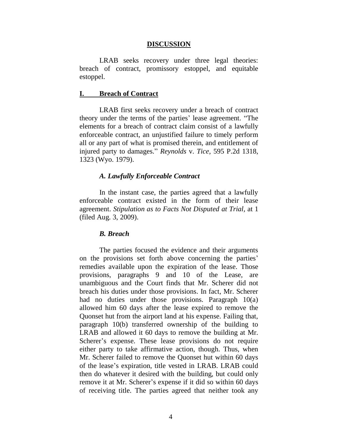#### **DISCUSSION**

LRAB seeks recovery under three legal theories: breach of contract, promissory estoppel, and equitable estoppel.

#### **I. Breach of Contract**

LRAB first seeks recovery under a breach of contract theory under the terms of the parties' lease agreement. "The elements for a breach of contract claim consist of a lawfully enforceable contract, an unjustified failure to timely perform all or any part of what is promised therein, and entitlement of injured party to damages." *Reynolds* v. *Tice,* 595 P.2d 1318, 1323 (Wyo. 1979).

#### *A. Lawfully Enforceable Contract*

In the instant case, the parties agreed that a lawfully enforceable contract existed in the form of their lease agreement. *Stipulation as to Facts Not Disputed at Trial,* at 1 (filed Aug. 3, 2009).

#### *B. Breach*

The parties focused the evidence and their arguments on the provisions set forth above concerning the parties' remedies available upon the expiration of the lease. Those provisions, paragraphs 9 and 10 of the Lease, are unambiguous and the Court finds that Mr. Scherer did not breach his duties under those provisions. In fact, Mr. Scherer had no duties under those provisions. Paragraph 10(a) allowed him 60 days after the lease expired to remove the Quonset hut from the airport land at his expense. Failing that, paragraph 10(b) transferred ownership of the building to LRAB and allowed it 60 days to remove the building at Mr. Scherer's expense. These lease provisions do not require either party to take affirmative action, though. Thus, when Mr. Scherer failed to remove the Quonset hut within 60 days of the lease's expiration, title vested in LRAB. LRAB could then do whatever it desired with the building, but could only remove it at Mr. Scherer's expense if it did so within 60 days of receiving title. The parties agreed that neither took any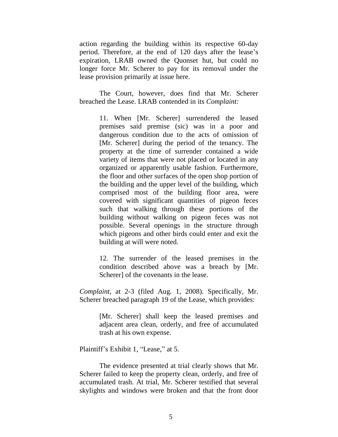action regarding the building within its respective 60-day period. Therefore, at the end of 120 days after the lease's expiration, LRAB owned the Quonset hut, but could no longer force Mr. Scherer to pay for its removal under the lease provision primarily at issue here.

The Court, however, does find that Mr. Scherer breached the Lease. LRAB contended in its *Complaint:*

> 11. When [Mr. Scherer] surrendered the leased premises said premise (sic) was in a poor and dangerous condition due to the acts of omission of [Mr. Scherer] during the period of the tenancy. The property at the time of surrender contained a wide variety of items that were not placed or located in any organized or apparently usable fashion. Furthermore, the floor and other surfaces of the open shop portion of the building and the upper level of the building, which comprised most of the building floor area, were covered with significant quantities of pigeon feces such that walking through these portions of the building without walking on pigeon feces was not possible. Several openings in the structure through which pigeons and other birds could enter and exit the building at will were noted.

12. The surrender of the leased premises in the condition described above was a breach by [Mr. Scherer] of the covenants in the lease.

*Complaint,* at 2-3 (filed Aug. 1, 2008). Specifically, Mr. Scherer breached paragraph 19 of the Lease, which provides:

> [Mr. Scherer] shall keep the leased premises and adjacent area clean, orderly, and free of accumulated trash at his own expense.

Plaintiff's Exhibit 1, "Lease," at 5.

The evidence presented at trial clearly shows that Mr. Scherer failed to keep the property clean, orderly, and free of accumulated trash. At trial, Mr. Scherer testified that several skylights and windows were broken and that the front door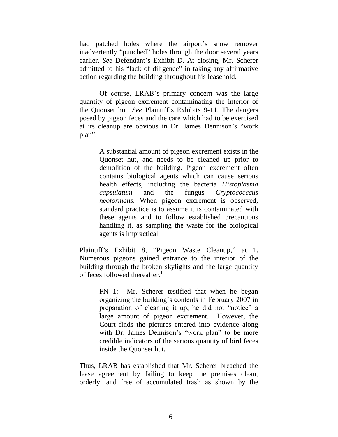had patched holes where the airport's snow remover inadvertently "punched" holes through the door several years earlier. *See* Defendant's Exhibit D. At closing, Mr. Scherer admitted to his "lack of diligence" in taking any affirmative action regarding the building throughout his leasehold.

Of course, LRAB's primary concern was the large quantity of pigeon excrement contaminating the interior of the Quonset hut. *See* Plaintiff's Exhibits 9-11. The dangers posed by pigeon feces and the care which had to be exercised at its cleanup are obvious in Dr. James Dennison's "work plan":

> A substantial amount of pigeon excrement exists in the Quonset hut, and needs to be cleaned up prior to demolition of the building. Pigeon excrement often contains biological agents which can cause serious health effects, including the bacteria *Histoplasma capsulatum* and the fungus *Cryptococccus neoformans.* When pigeon excrement is observed, standard practice is to assume it is contaminated with these agents and to follow established precautions handling it, as sampling the waste for the biological agents is impractical.

Plaintiff's Exhibit 8, "Pigeon Waste Cleanup," at 1. Numerous pigeons gained entrance to the interior of the building through the broken skylights and the large quantity of feces followed thereafter. $\frac{1}{1}$ 

> FN 1: Mr. Scherer testified that when he began organizing the building's contents in February 2007 in preparation of cleaning it up, he did not "notice" a large amount of pigeon excrement. However, the Court finds the pictures entered into evidence along with Dr. James Dennison's "work plan" to be more credible indicators of the serious quantity of bird feces inside the Quonset hut.

Thus, LRAB has established that Mr. Scherer breached the lease agreement by failing to keep the premises clean, orderly, and free of accumulated trash as shown by the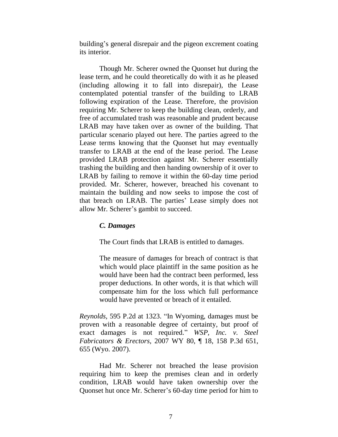building's general disrepair and the pigeon excrement coating its interior.

Though Mr. Scherer owned the Quonset hut during the lease term, and he could theoretically do with it as he pleased (including allowing it to fall into disrepair), the Lease contemplated potential transfer of the building to LRAB following expiration of the Lease. Therefore, the provision requiring Mr. Scherer to keep the building clean, orderly, and free of accumulated trash was reasonable and prudent because LRAB may have taken over as owner of the building. That particular scenario played out here. The parties agreed to the Lease terms knowing that the Quonset hut may eventually transfer to LRAB at the end of the lease period. The Lease provided LRAB protection against Mr. Scherer essentially trashing the building and then handing ownership of it over to LRAB by failing to remove it within the 60-day time period provided. Mr. Scherer, however, breached his covenant to maintain the building and now seeks to impose the cost of that breach on LRAB. The parties' Lease simply does not allow Mr. Scherer's gambit to succeed.

## *C. Damages*

The Court finds that LRAB is entitled to damages.

The measure of damages for breach of contract is that which would place plaintiff in the same position as he would have been had the contract been performed, less proper deductions. In other words, it is that which will compensate him for the loss which full performance would have prevented or breach of it entailed.

*Reynolds,* 595 P.2d at 1323. "In Wyoming, damages must be proven with a reasonable degree of certainty, but proof of exact damages is not required." *WSP, Inc. v. Steel Fabricators & Erectors,* 2007 WY 80, ¶ 18, 158 P.3d 651, 655 (Wyo. 2007).

Had Mr. Scherer not breached the lease provision requiring him to keep the premises clean and in orderly condition, LRAB would have taken ownership over the Quonset hut once Mr. Scherer's 60-day time period for him to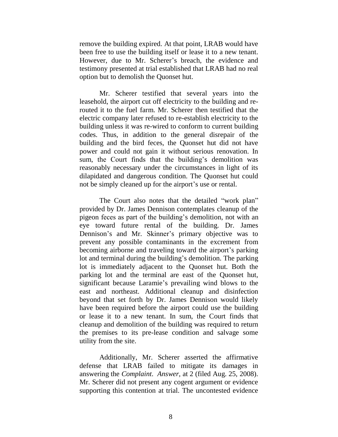remove the building expired. At that point, LRAB would have been free to use the building itself or lease it to a new tenant. However, due to Mr. Scherer's breach, the evidence and testimony presented at trial established that LRAB had no real option but to demolish the Quonset hut.

Mr. Scherer testified that several years into the leasehold, the airport cut off electricity to the building and rerouted it to the fuel farm. Mr. Scherer then testified that the electric company later refused to re-establish electricity to the building unless it was re-wired to conform to current building codes. Thus, in addition to the general disrepair of the building and the bird feces, the Quonset hut did not have power and could not gain it without serious renovation. In sum, the Court finds that the building's demolition was reasonably necessary under the circumstances in light of its dilapidated and dangerous condition. The Quonset hut could not be simply cleaned up for the airport's use or rental.

The Court also notes that the detailed "work plan" provided by Dr. James Dennison contemplates cleanup of the pigeon feces as part of the building's demolition, not with an eye toward future rental of the building. Dr. James Dennison's and Mr. Skinner's primary objective was to prevent any possible contaminants in the excrement from becoming airborne and traveling toward the airport's parking lot and terminal during the building's demolition. The parking lot is immediately adjacent to the Quonset hut. Both the parking lot and the terminal are east of the Quonset hut, significant because Laramie's prevailing wind blows to the east and northeast. Additional cleanup and disinfection beyond that set forth by Dr. James Dennison would likely have been required before the airport could use the building or lease it to a new tenant. In sum, the Court finds that cleanup and demolition of the building was required to return the premises to its pre-lease condition and salvage some utility from the site.

Additionally, Mr. Scherer asserted the affirmative defense that LRAB failed to mitigate its damages in answering the *Complaint*. *Answer*, at 2 (filed Aug. 25, 2008). Mr. Scherer did not present any cogent argument or evidence supporting this contention at trial. The uncontested evidence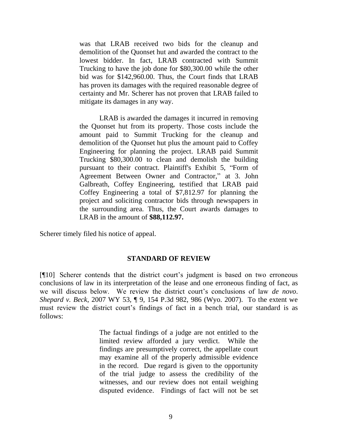was that LRAB received two bids for the cleanup and demolition of the Quonset hut and awarded the contract to the lowest bidder. In fact, LRAB contracted with Summit Trucking to have the job done for \$80,300.00 while the other bid was for \$142,960.00. Thus, the Court finds that LRAB has proven its damages with the required reasonable degree of certainty and Mr. Scherer has not proven that LRAB failed to mitigate its damages in any way.

LRAB is awarded the damages it incurred in removing the Quonset hut from its property. Those costs include the amount paid to Summit Trucking for the cleanup and demolition of the Quonset hut plus the amount paid to Coffey Engineering for planning the project. LRAB paid Summit Trucking \$80,300.00 to clean and demolish the building pursuant to their contract. Plaintiff's Exhibit 5, "Form of Agreement Between Owner and Contractor," at 3. John Galbreath, Coffey Engineering, testified that LRAB paid Coffey Engineering a total of \$7,812.97 for planning the project and soliciting contractor bids through newspapers in the surrounding area. Thus, the Court awards damages to LRAB in the amount of **\$88,112.97.**

Scherer timely filed his notice of appeal.

#### **STANDARD OF REVIEW**

[¶10] Scherer contends that the district court's judgment is based on two erroneous conclusions of law in its interpretation of the lease and one erroneous finding of fact, as we will discuss below. We review the district court's conclusions of law *de novo*. *Shepard v. Beck*, 2007 WY 53, ¶ 9, 154 P.3d 982, 986 (Wyo. 2007). To the extent we must review the district court's findings of fact in a bench trial, our standard is as follows:

> The factual findings of a judge are not entitled to the limited review afforded a jury verdict. While the findings are presumptively correct, the appellate court may examine all of the properly admissible evidence in the record. Due regard is given to the opportunity of the trial judge to assess the credibility of the witnesses, and our review does not entail weighing disputed evidence. Findings of fact will not be set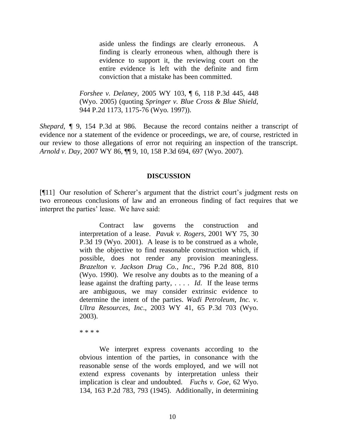aside unless the findings are clearly erroneous. A finding is clearly erroneous when, although there is evidence to support it, the reviewing court on the entire evidence is left with the definite and firm conviction that a mistake has been committed.

*Forshee v. Delaney*, 2005 WY 103, ¶ 6, 118 P.3d 445, 448 (Wyo. 2005) (quoting *Springer v. Blue Cross & Blue Shield*, 944 P.2d 1173, 1175-76 (Wyo. 1997)).

*Shepard,*  $\sqrt{\ }$  9, 154 P.3d at 986. Because the record contains neither a transcript of evidence nor a statement of the evidence or proceedings, we are, of course, restricted in our review to those allegations of error not requiring an inspection of the transcript. *Arnold v. Day*, 2007 WY 86, ¶¶ 9, 10, 158 P.3d 694, 697 (Wyo. 2007).

### **DISCUSSION**

[¶11] Our resolution of Scherer's argument that the district court's judgment rests on two erroneous conclusions of law and an erroneous finding of fact requires that we interpret the parties' lease. We have said:

> Contract law governs the construction and interpretation of a lease. *Pavuk v. Rogers*, 2001 WY 75, 30 P.3d 19 (Wyo. 2001). A lease is to be construed as a whole, with the objective to find reasonable construction which, if possible, does not render any provision meaningless. *Brazelton v. Jackson Drug Co., Inc.,* 796 P.2d 808, 810 (Wyo. 1990). We resolve any doubts as to the meaning of a lease against the drafting party, . . . . *Id*. If the lease terms are ambiguous, we may consider extrinsic evidence to determine the intent of the parties. *Wadi Petroleum, Inc. v. Ultra Resources, Inc*., 2003 WY 41, 65 P.3d 703 (Wyo. 2003).

\* \* \* \*

We interpret express covenants according to the obvious intention of the parties, in consonance with the reasonable sense of the words employed, and we will not extend express covenants by interpretation unless their implication is clear and undoubted. *Fuchs v. Goe*, 62 Wyo. 134, 163 P.2d 783, 793 (1945). Additionally, in determining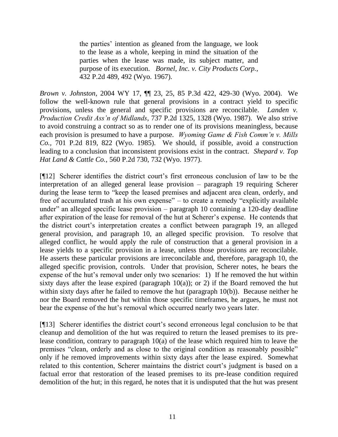the parties' intention as gleaned from the language, we look to the lease as a whole, keeping in mind the situation of the parties when the lease was made, its subject matter, and purpose of its execution. *Bornel, Inc. v. City Products Corp.,* 432 P.2d 489, 492 (Wyo. 1967).

*Brown v. Johnston*, 2004 WY 17, ¶¶ 23, 25, 85 P.3d 422, 429-30 (Wyo. 2004). We follow the well-known rule that general provisions in a contract yield to specific provisions, unless the general and specific provisions are reconcilable. *Landen v. Production Credit Ass'n of Midlands*, 737 P.2d 1325, 1328 (Wyo. 1987). We also strive to avoid construing a contract so as to render one of its provisions meaningless, because each provision is presumed to have a purpose. *Wyoming Game & Fish Comm'n v. Mills Co.,* 701 P.2d 819, 822 (Wyo. 1985). We should, if possible, avoid a construction leading to a conclusion that inconsistent provisions exist in the contract. *Shepard v. Top Hat Land & Cattle Co.*, 560 P.2d 730, 732 (Wyo. 1977).

[¶12] Scherer identifies the district court's first erroneous conclusion of law to be the interpretation of an alleged general lease provision – paragraph 19 requiring Scherer during the lease term to "keep the leased premises and adjacent area clean, orderly, and free of accumulated trash at his own expense" – to create a remedy "explicitly available under" an alleged specific lease provision – paragraph 10 containing a 120-day deadline after expiration of the lease for removal of the hut at Scherer's expense. He contends that the district court's interpretation creates a conflict between paragraph 19, an alleged general provision, and paragraph 10, an alleged specific provision. To resolve that alleged conflict, he would apply the rule of construction that a general provision in a lease yields to a specific provision in a lease, unless those provisions are reconcilable. He asserts these particular provisions are irreconcilable and, therefore, paragraph 10, the alleged specific provision, controls. Under that provision, Scherer notes, he bears the expense of the hut's removal under only two scenarios: 1) If he removed the hut within sixty days after the lease expired (paragraph  $10(a)$ ); or 2) if the Board removed the hut within sixty days after he failed to remove the hut (paragraph 10(b)). Because neither he nor the Board removed the hut within those specific timeframes, he argues, he must not bear the expense of the hut's removal which occurred nearly two years later.

[¶13] Scherer identifies the district court's second erroneous legal conclusion to be that cleanup and demolition of the hut was required to return the leased premises to its prelease condition, contrary to paragraph 10(a) of the lease which required him to leave the premises "clean, orderly and as close to the original condition as reasonably possible" only if he removed improvements within sixty days after the lease expired. Somewhat related to this contention, Scherer maintains the district court's judgment is based on a factual error that restoration of the leased premises to its pre-lease condition required demolition of the hut; in this regard, he notes that it is undisputed that the hut was present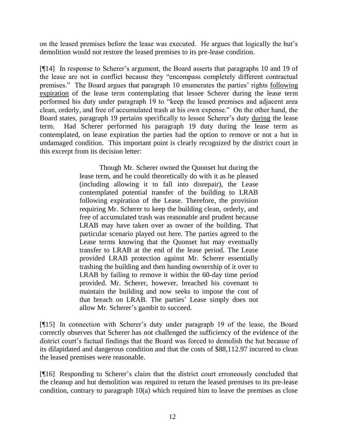on the leased premises before the lease was executed. He argues that logically the hut's demolition would not restore the leased premises to its pre-lease condition.

[¶14] In response to Scherer's argument, the Board asserts that paragraphs 10 and 19 of the lease are not in conflict because they "encompass completely different contractual premises." The Board argues that paragraph 10 enumerates the parties' rights following expiration of the lease term contemplating that lessee Scherer during the lease term performed his duty under paragraph 19 to "keep the leased premises and adjacent area clean, orderly, and free of accumulated trash at his own expense." On the other hand, the Board states, paragraph 19 pertains specifically to lessee Scherer's duty during the lease term. Had Scherer performed his paragraph 19 duty during the lease term as contemplated, on lease expiration the parties had the option to remove or not a hut in undamaged condition. This important point is clearly recognized by the district court in this excerpt from its decision letter:

> Though Mr. Scherer owned the Quonset hut during the lease term, and he could theoretically do with it as he pleased (including allowing it to fall into disrepair), the Lease contemplated potential transfer of the building to LRAB following expiration of the Lease. Therefore, the provision requiring Mr. Scherer to keep the building clean, orderly, and free of accumulated trash was reasonable and prudent because LRAB may have taken over as owner of the building. That particular scenario played out here. The parties agreed to the Lease terms knowing that the Quonset hut may eventually transfer to LRAB at the end of the lease period. The Lease provided LRAB protection against Mr. Scherer essentially trashing the building and then handing ownership of it over to LRAB by failing to remove it within the 60-day time period provided. Mr. Scherer, however, breached his covenant to maintain the building and now seeks to impose the cost of that breach on LRAB. The parties' Lease simply does not allow Mr. Scherer's gambit to succeed.

[¶15] In connection with Scherer's duty under paragraph 19 of the lease, the Board correctly observes that Scherer has not challenged the sufficiency of the evidence of the district court's factual findings that the Board was forced to demolish the hut because of its dilapidated and dangerous condition and that the costs of \$88,112.97 incurred to clean the leased premises were reasonable.

[¶16] Responding to Scherer's claim that the district court erroneously concluded that the cleanup and hut demolition was required to return the leased premises to its pre-lease condition, contrary to paragraph 10(a) which required him to leave the premises as close